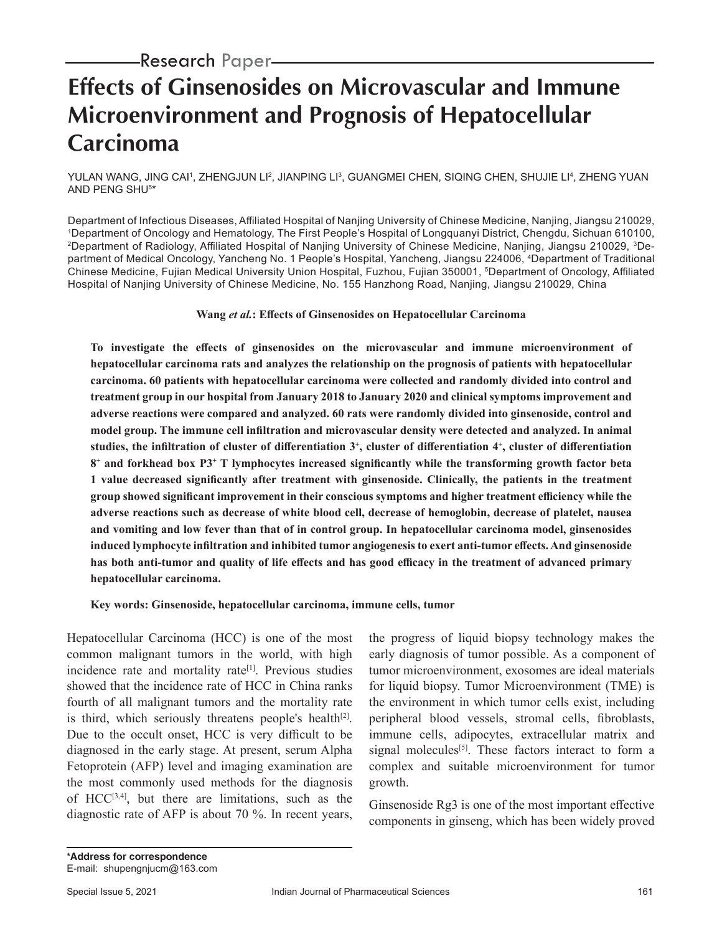# **Effects of Ginsenosides on Microvascular and Immune Microenvironment and Prognosis of Hepatocellular Carcinoma**

YULAN WANG, JING CAI', ZHENGJUN LI<del>'</del>, JIANPING LI', GUANGMEI CHEN, SIQING CHEN, SHUJIE LI', ZHENG YUAN AND PENG SHU5 \*

Department of Infectious Diseases, Affiliated Hospital of Nanjing University of Chinese Medicine, Nanjing, Jiangsu 210029, <sup>1</sup>Department of Oncology and Hematology, The First People's Hospital of Longquanyi District, Chengdu, Sichuan 610100, 2Department of Radiology, Affiliated Hospital of Nanjing University of Chinese Medicine, Nanjing, Jiangsu 210029, 3Department of Medical Oncology, Yancheng No. 1 People's Hospital, Yancheng, Jiangsu 224006, <sup>4</sup>Department of Traditional Chinese Medicine, Fujian Medical University Union Hospital, Fuzhou, Fujian 350001, <sup>5</sup>Department of Oncology, Affiliated Hospital of Nanjing University of Chinese Medicine, No. 155 Hanzhong Road, Nanjing, Jiangsu 210029, China

### **Wang** *et al.***: Effects of Ginsenosides on Hepatocellular Carcinoma**

**To investigate the effects of ginsenosides on the microvascular and immune microenvironment of hepatocellular carcinoma rats and analyzes the relationship on the prognosis of patients with hepatocellular carcinoma. 60 patients with hepatocellular carcinoma were collected and randomly divided into control and treatment group in our hospital from January 2018 to January 2020 and clinical symptoms improvement and adverse reactions were compared and analyzed. 60 rats were randomly divided into ginsenoside, control and model group. The immune cell infiltration and microvascular density were detected and analyzed. In animal studies, the infiltration of cluster of differentiation 3<sup>+</sup> , cluster of differentiation 4<sup>+</sup> , cluster of differentiation 8+ and forkhead box P3<sup>+</sup> T lymphocytes increased significantly while the transforming growth factor beta 1 value decreased significantly after treatment with ginsenoside. Clinically, the patients in the treatment group showed significant improvement in their conscious symptoms and higher treatment efficiency while the adverse reactions such as decrease of white blood cell, decrease of hemoglobin, decrease of platelet, nausea and vomiting and low fever than that of in control group. In hepatocellular carcinoma model, ginsenosides induced lymphocyte infiltration and inhibited tumor angiogenesis to exert anti-tumor effects. And ginsenoside has both anti-tumor and quality of life effects and has good efficacy in the treatment of advanced primary hepatocellular carcinoma.**

**Key words: Ginsenoside, hepatocellular carcinoma, immune cells, tumor**

Hepatocellular Carcinoma (HCC) is one of the most common malignant tumors in the world, with high incidence rate and mortality rate<sup>[1]</sup>. Previous studies showed that the incidence rate of HCC in China ranks fourth of all malignant tumors and the mortality rate is third, which seriously threatens people's health<sup>[2]</sup>. Due to the occult onset, HCC is very difficult to be diagnosed in the early stage. At present, serum Alpha Fetoprotein (AFP) level and imaging examination are the most commonly used methods for the diagnosis of HCC[3,4], but there are limitations, such as the diagnostic rate of AFP is about 70 %. In recent years, the progress of liquid biopsy technology makes the early diagnosis of tumor possible. As a component of tumor microenvironment, exosomes are ideal materials for liquid biopsy. Tumor Microenvironment (TME) is the environment in which tumor cells exist, including peripheral blood vessels, stromal cells, fibroblasts, immune cells, adipocytes, extracellular matrix and signal molecules<sup>[5]</sup>. These factors interact to form a complex and suitable microenvironment for tumor growth.

Ginsenoside Rg3 is one of the most important effective components in ginseng, which has been widely proved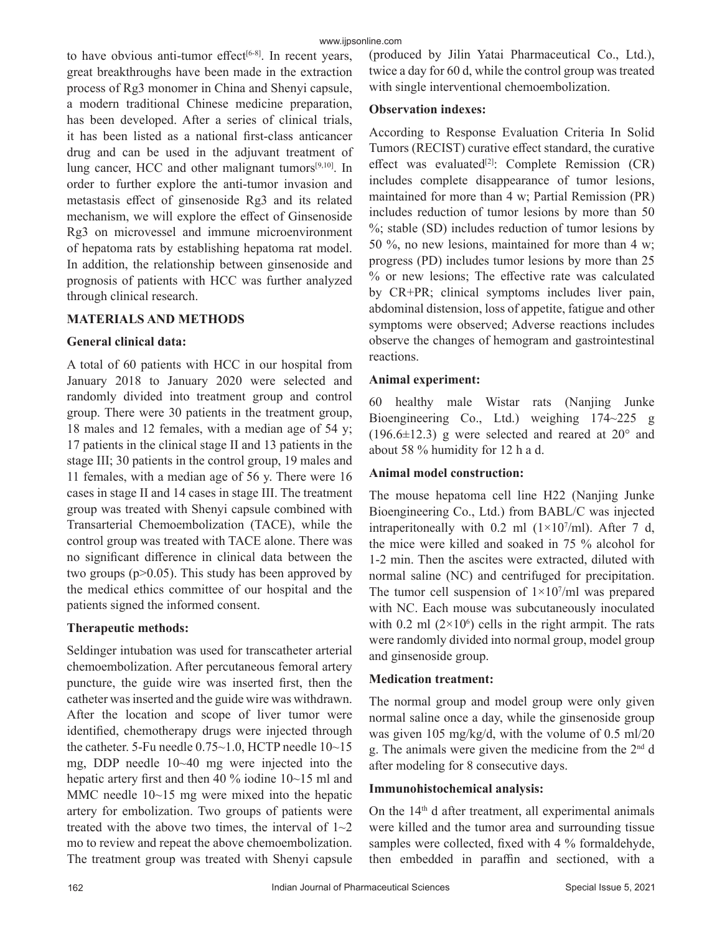to have obvious anti-tumor effect<sup>[6-8]</sup>. In recent years, great breakthroughs have been made in the extraction process of Rg3 monomer in China and Shenyi capsule, a modern traditional Chinese medicine preparation, has been developed. After a series of clinical trials, it has been listed as a national first-class anticancer drug and can be used in the adjuvant treatment of lung cancer, HCC and other malignant tumors<sup>[9,10]</sup>. In order to further explore the anti-tumor invasion and metastasis effect of ginsenoside Rg3 and its related mechanism, we will explore the effect of Ginsenoside Rg3 on microvessel and immune microenvironment of hepatoma rats by establishing hepatoma rat model. In addition, the relationship between ginsenoside and prognosis of patients with HCC was further analyzed through clinical research.

# **MATERIALS AND METHODS**

## **General clinical data:**

A total of 60 patients with HCC in our hospital from January 2018 to January 2020 were selected and randomly divided into treatment group and control group. There were 30 patients in the treatment group, 18 males and 12 females, with a median age of 54 y; 17 patients in the clinical stage II and 13 patients in the stage III; 30 patients in the control group, 19 males and 11 females, with a median age of 56 y. There were 16 cases in stage II and 14 cases in stage III. The treatment group was treated with Shenyi capsule combined with Transarterial Chemoembolization (TACE), while the control group was treated with TACE alone. There was no significant difference in clinical data between the two groups  $(p>0.05)$ . This study has been approved by the medical ethics committee of our hospital and the patients signed the informed consent.

# **Therapeutic methods:**

Seldinger intubation was used for transcatheter arterial chemoembolization. After percutaneous femoral artery puncture, the guide wire was inserted first, then the catheter was inserted and the guide wire was withdrawn. After the location and scope of liver tumor were identified, chemotherapy drugs were injected through the catheter. 5-Fu needle  $0.75~1.0$ , HCTP needle  $10~15$ mg, DDP needle 10~40 mg were injected into the hepatic artery first and then 40 % iodine 10~15 ml and MMC needle 10~15 mg were mixed into the hepatic artery for embolization. Two groups of patients were treated with the above two times, the interval of  $1~2$ mo to review and repeat the above chemoembolization. The treatment group was treated with Shenyi capsule (produced by Jilin Yatai Pharmaceutical Co., Ltd.), twice a day for 60 d, while the control group was treated with single interventional chemoembolization.

## **Observation indexes:**

According to Response Evaluation Criteria In Solid Tumors (RECIST) curative effect standard, the curative effect was evaluated<sup>[2]</sup>: Complete Remission  $(CR)$ includes complete disappearance of tumor lesions, maintained for more than 4 w; Partial Remission (PR) includes reduction of tumor lesions by more than 50 %; stable (SD) includes reduction of tumor lesions by 50 %, no new lesions, maintained for more than 4 w; progress (PD) includes tumor lesions by more than 25 % or new lesions; The effective rate was calculated by CR+PR; clinical symptoms includes liver pain, abdominal distension, loss of appetite, fatigue and other symptoms were observed; Adverse reactions includes observe the changes of hemogram and gastrointestinal reactions.

## **Animal experiment:**

60 healthy male Wistar rats (Nanjing Junke Bioengineering Co., Ltd.) weighing 174~225 g (196.6 $\pm$ 12.3) g were selected and reared at 20 $^{\circ}$  and about 58 % humidity for 12 h a d.

# **Animal model construction:**

The mouse hepatoma cell line H22 (Nanjing Junke Bioengineering Co., Ltd.) from BABL/C was injected intraperitoneally with 0.2 ml  $(1\times10^7/\text{ml})$ . After 7 d, the mice were killed and soaked in 75 % alcohol for 1-2 min. Then the ascites were extracted, diluted with normal saline (NC) and centrifuged for precipitation. The tumor cell suspension of  $1 \times 10^7$ /ml was prepared with NC. Each mouse was subcutaneously inoculated with 0.2 ml  $(2 \times 10^6)$  cells in the right armpit. The rats were randomly divided into normal group, model group and ginsenoside group.

# **Medication treatment:**

The normal group and model group were only given normal saline once a day, while the ginsenoside group was given 105 mg/kg/d, with the volume of 0.5 ml/20 g. The animals were given the medicine from the 2nd d after modeling for 8 consecutive days.

# **Immunohistochemical analysis:**

On the  $14<sup>th</sup>$  d after treatment, all experimental animals were killed and the tumor area and surrounding tissue samples were collected, fixed with 4 % formaldehyde, then embedded in paraffin and sectioned, with a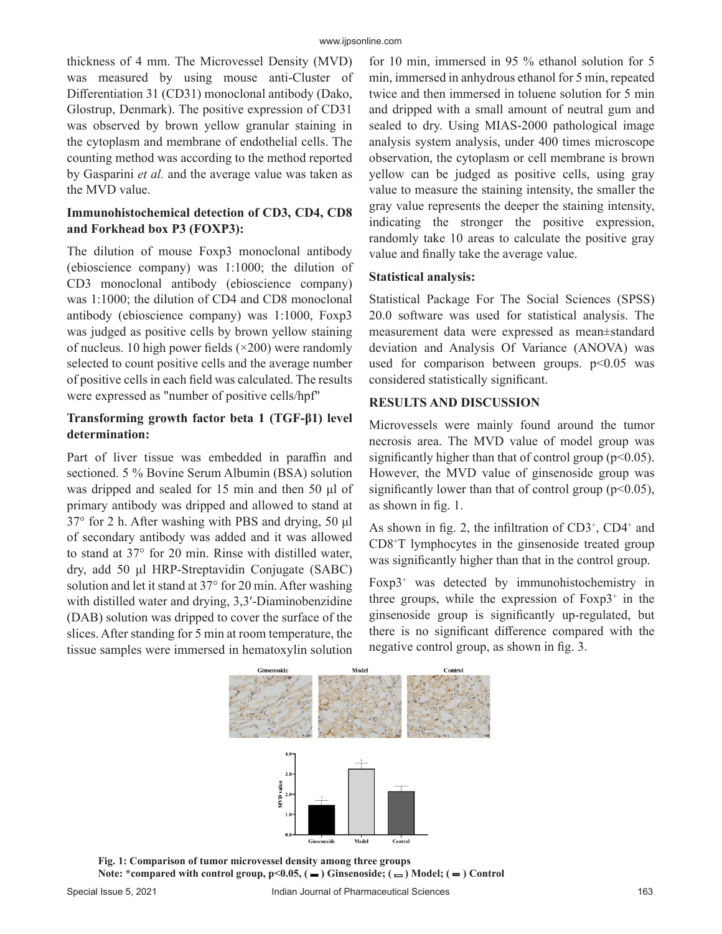thickness of 4 mm. The Microvessel Density (MVD) was measured by using mouse anti-Cluster of Differentiation 31 (CD31) monoclonal antibody (Dako, Glostrup, Denmark). The positive expression of CD31 was observed by brown yellow granular staining in the cytoplasm and membrane of endothelial cells. The counting method was according to the method reported by Gasparini *et al.* and the average value was taken as the MVD value.

# **Immunohistochemical detection of CD3, CD4, CD8 and Forkhead box P3 (FOXP3):**

The dilution of mouse Foxp3 monoclonal antibody (ebioscience company) was 1:1000; the dilution of CD3 monoclonal antibody (ebioscience company) was 1:1000; the dilution of CD4 and CD8 monoclonal antibody (ebioscience company) was 1:1000, Foxp3 was judged as positive cells by brown yellow staining of nucleus. 10 high power fields  $(\times 200)$  were randomly selected to count positive cells and the average number of positive cells in each field was calculated. The results were expressed as "number of positive cells/hpf"

# **Transforming growth factor beta 1 (TGF-β1) level determination:**

Part of liver tissue was embedded in paraffin and sectioned. 5 % Bovine Serum Albumin (BSA) solution was dripped and sealed for 15 min and then 50 μl of primary antibody was dripped and allowed to stand at 37° for 2 h. After washing with PBS and drying, 50 μl of secondary antibody was added and it was allowed to stand at 37° for 20 min. Rinse with distilled water, dry, add 50 μl HRP-Streptavidin Conjugate (SABC) solution and let it stand at 37° for 20 min. After washing with distilled water and drying, 3,3'-Diaminobenzidine (DAB) solution was dripped to cover the surface of the slices. After standing for 5 min at room temperature, the tissue samples were immersed in hematoxylin solution for 10 min, immersed in 95 % ethanol solution for 5 min, immersed in anhydrous ethanol for 5 min, repeated twice and then immersed in toluene solution for 5 min and dripped with a small amount of neutral gum and sealed to dry. Using MIAS-2000 pathological image analysis system analysis, under 400 times microscope observation, the cytoplasm or cell membrane is brown yellow can be judged as positive cells, using gray value to measure the staining intensity, the smaller the gray value represents the deeper the staining intensity, indicating the stronger the positive expression, randomly take 10 areas to calculate the positive gray value and finally take the average value.

# **Statistical analysis:**

Statistical Package For The Social Sciences (SPSS) 20.0 software was used for statistical analysis. The measurement data were expressed as mean±standard deviation and Analysis Of Variance (ANOVA) was used for comparison between groups.  $p<0.05$  was considered statistically significant.

# **RESULTS AND DISCUSSION**

Microvessels were mainly found around the tumor necrosis area. The MVD value of model group was significantly higher than that of control group ( $p<0.05$ ). However, the MVD value of ginsenoside group was significantly lower than that of control group ( $p<0.05$ ), as shown in fig. 1.

As shown in fig. 2, the infiltration of  $CD3^+$ ,  $CD4^+$  and CD8+ T lymphocytes in the ginsenoside treated group was significantly higher than that in the control group.

Foxp3<sup>+</sup> was detected by immunohistochemistry in three groups, while the expression of  $F\text{o}xp3^+$  in the ginsenoside group is significantly up-regulated, but there is no significant difference compared with the negative control group, as shown in fig. 3.



**Fig. 1: Comparison of tumor microvessel density among three groups** Note: \*compared with control group,  $p<0.05$ ,  $($   $\blacksquare$ ) Ginsenoside;  $($   $\blacksquare$ ) Model;  $($   $\blacksquare$ ) Control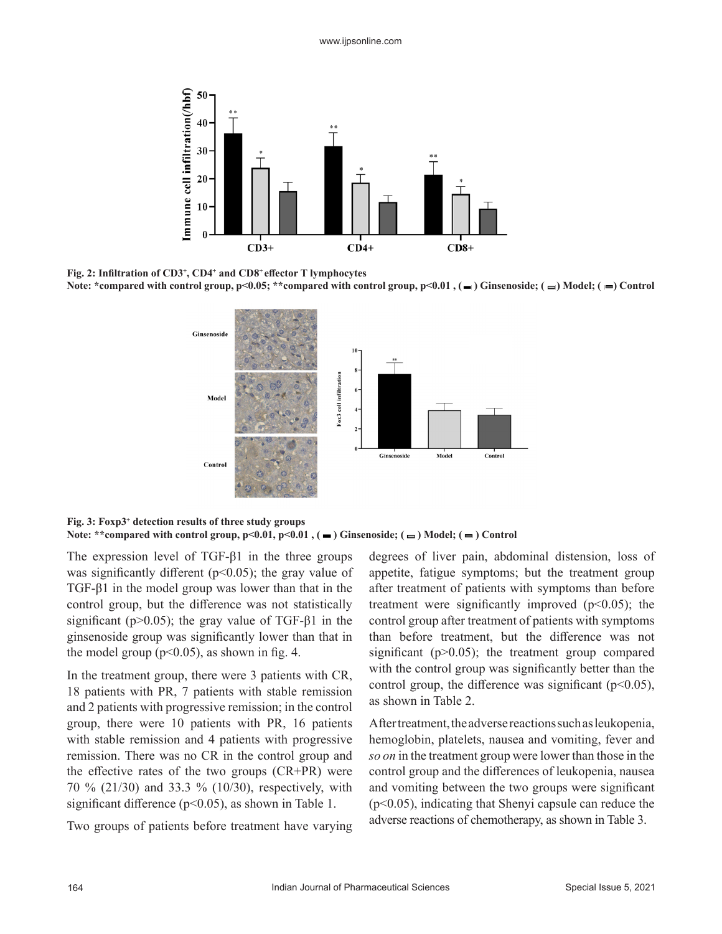

**Fig. 2: Infiltration of CD3<sup>+</sup> , CD4<sup>+</sup> and CD8<sup>+</sup>effector T lymphocytes** Note: \*compared with control group, p<0.05; \*\*compared with control group, p<0.01, (- ) Ginsenoside; ( = ) Model; ( = ) Control



**Fig. 3: Foxp3<sup>+</sup> detection results of three study groups** Note: \*\*compared with control group,  $p<0.01$ ,  $p<0.01$ ,  $($   $\blacksquare)$  Ginsenoside;  $($  $\blacksquare)$  Model;  $($   $\blacksquare)$  Control

The expression level of TGF-β1 in the three groups was significantly different ( $p<0.05$ ); the gray value of TGF-β1 in the model group was lower than that in the control group, but the difference was not statistically significant ( $p > 0.05$ ); the gray value of TGF- $\beta$ 1 in the ginsenoside group was significantly lower than that in the model group ( $p<0.05$ ), as shown in fig. 4.

In the treatment group, there were 3 patients with CR, 18 patients with PR, 7 patients with stable remission and 2 patients with progressive remission; in the control group, there were 10 patients with PR, 16 patients with stable remission and 4 patients with progressive remission. There was no CR in the control group and the effective rates of the two groups (CR+PR) were 70 % (21/30) and 33.3 % (10/30), respectively, with significant difference ( $p$ <0.05), as shown in Table 1.

Two groups of patients before treatment have varying

degrees of liver pain, abdominal distension, loss of appetite, fatigue symptoms; but the treatment group after treatment of patients with symptoms than before treatment were significantly improved  $(p<0.05)$ ; the control group after treatment of patients with symptoms than before treatment, but the difference was not significant ( $p>0.05$ ); the treatment group compared with the control group was significantly better than the control group, the difference was significant ( $p<0.05$ ), as shown in Table 2.

After treatment, the adverse reactions such as leukopenia, hemoglobin, platelets, nausea and vomiting, fever and *so on* in the treatment group were lower than those in the control group and the differences of leukopenia, nausea and vomiting between the two groups were significant (p<0.05), indicating that Shenyi capsule can reduce the adverse reactions of chemotherapy, as shown in Table 3.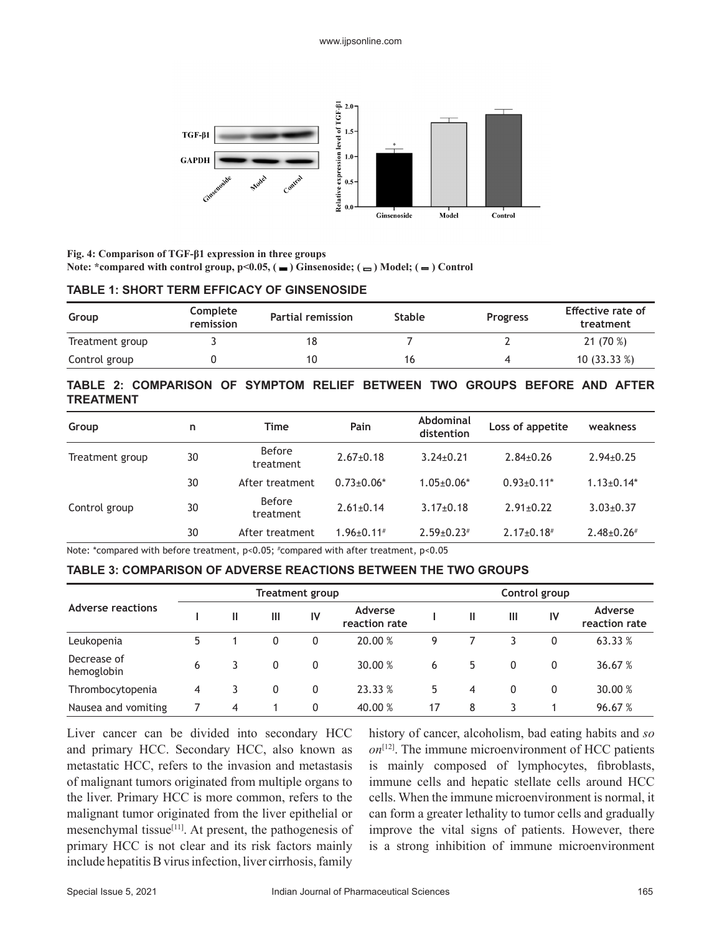

**Fig. 4: Comparison of TGF-β1 expression in three groups** Note: \*compared with control group,  $p<0.05$ ,  $(\square)$  Ginsenoside;  $(\square)$  Model;  $(\square)$  Control

#### **TABLE 1: SHORT TERM EFFICACY OF GINSENOSIDE**

| Group           | Complete<br>remission | <b>Partial remission</b> | <b>Stable</b> | <b>Progress</b> | Effective rate of<br>treatment |
|-----------------|-----------------------|--------------------------|---------------|-----------------|--------------------------------|
| Treatment group |                       |                          |               |                 | 21(70%)                        |
| Control group   |                       | 10                       | 16            |                 | 10(33.33%)                     |

# **TABLE 2: COMPARISON OF SYMPTOM RELIEF BETWEEN TWO GROUPS BEFORE AND AFTER TREATMENT**

| Group           | n  | Time                       | Pain              | Abdominal<br>distention | Loss of appetite  | weakness         |
|-----------------|----|----------------------------|-------------------|-------------------------|-------------------|------------------|
| Treatment group | 30 | <b>Before</b><br>treatment | $2.67+0.18$       | $3.24 \pm 0.21$         | $2.84 \pm 0.26$   | $2.94 \pm 0.25$  |
|                 | 30 | After treatment            | $0.73 \pm 0.06*$  | $1.05 \pm 0.06*$        | $0.93 \pm 0.11$ * | $1.13 \pm 0.14*$ |
| Control group   | 30 | <b>Before</b><br>treatment | $2.61 \pm 0.14$   | $3.17 \pm 0.18$         | $2.91 \pm 0.22$   | $3.03 \pm 0.37$  |
|                 | 30 | After treatment            | $1.96 \pm 0.11$ # | $2.59 \pm 0.23$ #       | $2.17 \pm 0.18$ # | $2.48 \pm 0.26$  |

Note: \*compared with before treatment, p<0.05; # compared with after treatment, p<0.05

### **TABLE 3: COMPARISON OF ADVERSE REACTIONS BETWEEN THE TWO GROUPS**

|                           | <b>Treatment group</b> |   |   |    | Control group            |    |              |   |           |                          |
|---------------------------|------------------------|---|---|----|--------------------------|----|--------------|---|-----------|--------------------------|
| <b>Adverse reactions</b>  |                        | Ш | Ш | IV | Adverse<br>reaction rate |    | $\mathbf{I}$ | Ш | <b>IV</b> | Adverse<br>reaction rate |
| Leukopenia                | 5                      |   | 0 | 0  | 20.00 %                  | 9  |              |   | 0         | 63.33 %                  |
| Decrease of<br>hemoglobin | 6                      | 3 | 0 | 0  | 30.00 %                  | 6  | 5            | 0 | 0         | 36.67 %                  |
| Thrombocytopenia          | 4                      | 3 | 0 | 0  | 23.33 %                  | 5. | 4            | 0 | 0         | 30.00 %                  |
| Nausea and vomiting       |                        | 4 |   | 0  | 40.00 %                  | 17 | 8            |   |           | 96.67 %                  |

Liver cancer can be divided into secondary HCC and primary HCC. Secondary HCC, also known as metastatic HCC, refers to the invasion and metastasis of malignant tumors originated from multiple organs to the liver. Primary HCC is more common, refers to the malignant tumor originated from the liver epithelial or mesenchymal tissue<sup>[11]</sup>. At present, the pathogenesis of primary HCC is not clear and its risk factors mainly include hepatitis B virus infection, liver cirrhosis, family history of cancer, alcoholism, bad eating habits and *so on*[12]. The immune microenvironment of HCC patients is mainly composed of lymphocytes, fibroblasts, immune cells and hepatic stellate cells around HCC cells. When the immune microenvironment is normal, it can form a greater lethality to tumor cells and gradually improve the vital signs of patients. However, there is a strong inhibition of immune microenvironment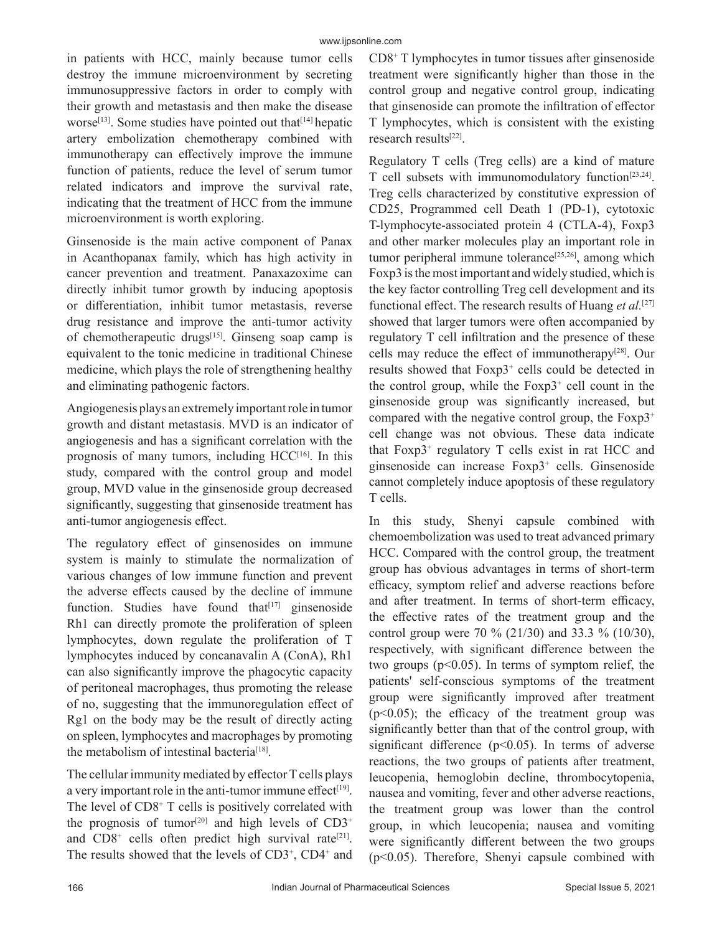in patients with HCC, mainly because tumor cells destroy the immune microenvironment by secreting immunosuppressive factors in order to comply with their growth and metastasis and then make the disease worse<sup>[13]</sup>. Some studies have pointed out that<sup>[14]</sup> hepatic artery embolization chemotherapy combined with immunotherapy can effectively improve the immune function of patients, reduce the level of serum tumor related indicators and improve the survival rate, indicating that the treatment of HCC from the immune microenvironment is worth exploring.

Ginsenoside is the main active component of Panax in Acanthopanax family, which has high activity in cancer prevention and treatment. Panaxazoxime can directly inhibit tumor growth by inducing apoptosis or differentiation, inhibit tumor metastasis, reverse drug resistance and improve the anti-tumor activity of chemotherapeutic drugs<sup>[15]</sup>. Ginseng soap camp is equivalent to the tonic medicine in traditional Chinese medicine, which plays the role of strengthening healthy and eliminating pathogenic factors.

Angiogenesis plays an extremely important role in tumor growth and distant metastasis. MVD is an indicator of angiogenesis and has a significant correlation with the prognosis of many tumors, including  $HCC^{[16]}$ . In this study, compared with the control group and model group, MVD value in the ginsenoside group decreased significantly, suggesting that ginsenoside treatment has anti-tumor angiogenesis effect.

The regulatory effect of ginsenosides on immune system is mainly to stimulate the normalization of various changes of low immune function and prevent the adverse effects caused by the decline of immune function. Studies have found that $[17]$  ginsenoside Rh1 can directly promote the proliferation of spleen lymphocytes, down regulate the proliferation of T lymphocytes induced by concanavalin A (ConA), Rh1 can also significantly improve the phagocytic capacity of peritoneal macrophages, thus promoting the release of no, suggesting that the immunoregulation effect of Rg1 on the body may be the result of directly acting on spleen, lymphocytes and macrophages by promoting the metabolism of intestinal bacteria<sup>[18]</sup>.

The cellular immunity mediated by effector T cells plays a very important role in the anti-tumor immune effect<sup>[19]</sup>. The level of CD8<sup>+</sup> T cells is positively correlated with the prognosis of tumor<sup>[20]</sup> and high levels of  $CD3^+$ and CD8<sup>+</sup> cells often predict high survival rate<sup>[21]</sup>. The results showed that the levels of CD3<sup>+</sup>, CD4<sup>+</sup> and

CD8+ T lymphocytes in tumor tissues after ginsenoside treatment were significantly higher than those in the control group and negative control group, indicating that ginsenoside can promote the infiltration of effector T lymphocytes, which is consistent with the existing research results[22].

Regulatory T cells (Treg cells) are a kind of mature T cell subsets with immunomodulatory function[23,24]. Treg cells characterized by constitutive expression of CD25, Programmed cell Death 1 (PD-1), cytotoxic T-lymphocyte-associated protein 4 (CTLA-4), Foxp3 and other marker molecules play an important role in tumor peripheral immune tolerance<sup>[25,26]</sup>, among which Foxp3 is the most important and widely studied, which is the key factor controlling Treg cell development and its functional effect. The research results of Huang *et al.*[27] showed that larger tumors were often accompanied by regulatory T cell infiltration and the presence of these cells may reduce the effect of immunotherapy[28]. Our results showed that Foxp3<sup>+</sup> cells could be detected in the control group, while the  $F\text{o}xp3^+$  cell count in the ginsenoside group was significantly increased, but compared with the negative control group, the  $F\text{o}xp3^+$ cell change was not obvious. These data indicate that Foxp3<sup>+</sup> regulatory T cells exist in rat HCC and ginsenoside can increase Foxp3<sup>+</sup> cells. Ginsenoside cannot completely induce apoptosis of these regulatory T cells.

In this study, Shenyi capsule combined with chemoembolization was used to treat advanced primary HCC. Compared with the control group, the treatment group has obvious advantages in terms of short-term efficacy, symptom relief and adverse reactions before and after treatment. In terms of short-term efficacy, the effective rates of the treatment group and the control group were 70 % (21/30) and 33.3 % (10/30), respectively, with significant difference between the two groups ( $p<0.05$ ). In terms of symptom relief, the patients' self-conscious symptoms of the treatment group were significantly improved after treatment  $(p<0.05)$ ; the efficacy of the treatment group was significantly better than that of the control group, with significant difference ( $p$ <0.05). In terms of adverse reactions, the two groups of patients after treatment, leucopenia, hemoglobin decline, thrombocytopenia, nausea and vomiting, fever and other adverse reactions, the treatment group was lower than the control group, in which leucopenia; nausea and vomiting were significantly different between the two groups  $(p<0.05)$ . Therefore, Shenyi capsule combined with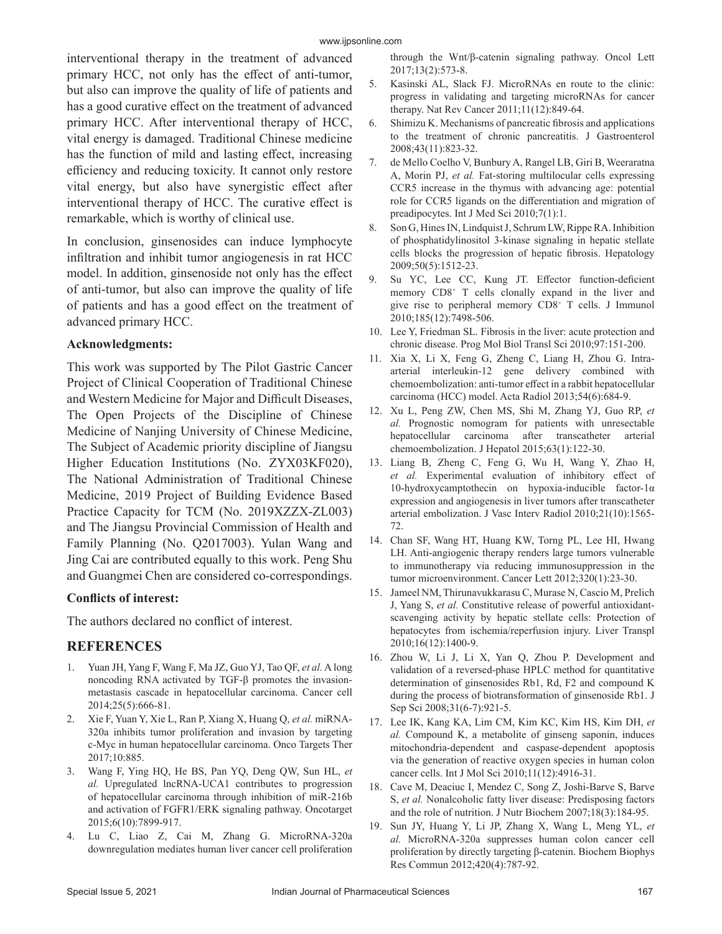interventional therapy in the treatment of advanced primary HCC, not only has the effect of anti-tumor, but also can improve the quality of life of patients and has a good curative effect on the treatment of advanced primary HCC. After interventional therapy of HCC, vital energy is damaged. Traditional Chinese medicine has the function of mild and lasting effect, increasing efficiency and reducing toxicity. It cannot only restore vital energy, but also have synergistic effect after interventional therapy of HCC. The curative effect is remarkable, which is worthy of clinical use.

In conclusion, ginsenosides can induce lymphocyte infiltration and inhibit tumor angiogenesis in rat HCC model. In addition, ginsenoside not only has the effect of anti-tumor, but also can improve the quality of life of patients and has a good effect on the treatment of advanced primary HCC.

## **Acknowledgments:**

This work was supported by The Pilot Gastric Cancer Project of Clinical Cooperation of Traditional Chinese and Western Medicine for Major and Difficult Diseases, The Open Projects of the Discipline of Chinese Medicine of Nanjing University of Chinese Medicine, The Subject of Academic priority discipline of Jiangsu Higher Education Institutions (No. ZYX03KF020), The National Administration of Traditional Chinese Medicine, 2019 Project of Building Evidence Based Practice Capacity for TCM (No. 2019XZZX-ZL003) and The Jiangsu Provincial Commission of Health and Family Planning (No. Q2017003). Yulan Wang and Jing Cai are contributed equally to this work. Peng Shu and Guangmei Chen are considered co-correspondings.

### **Conflicts of interest:**

The authors declared no conflict of interest.

# **REFERENCES**

- 1. Yuan JH, Yang F, Wang F, Ma JZ, Guo YJ, Tao QF, *et al.* A long noncoding RNA activated by TGF-β promotes the invasionmetastasis cascade in hepatocellular carcinoma. Cancer cell 2014;25(5):666-81.
- 2. Xie F, Yuan Y, Xie L, Ran P, Xiang X, Huang Q, *et al.* miRNA-320a inhibits tumor proliferation and invasion by targeting c-Myc in human hepatocellular carcinoma. Onco Targets Ther 2017;10:885.
- 3. Wang F, Ying HQ, He BS, Pan YQ, Deng QW, Sun HL, *et al.* Upregulated lncRNA-UCA1 contributes to progression of hepatocellular carcinoma through inhibition of miR-216b and activation of FGFR1/ERK signaling pathway. Oncotarget 2015;6(10):7899-917.
- 4. Lu C, Liao Z, Cai M, Zhang G. MicroRNA‑320a downregulation mediates human liver cancer cell proliferation

through the Wnt/β‑catenin signaling pathway. Oncol Lett 2017;13(2):573-8.

- 5. Kasinski AL, Slack FJ. MicroRNAs en route to the clinic: progress in validating and targeting microRNAs for cancer therapy. Nat Rev Cancer 2011;11(12):849-64.
- 6. Shimizu K. Mechanisms of pancreatic fibrosis and applications to the treatment of chronic pancreatitis. J Gastroenterol 2008;43(11):823-32.
- 7. de Mello Coelho V, Bunbury A, Rangel LB, Giri B, Weeraratna A, Morin PJ, *et al.* Fat-storing multilocular cells expressing CCR5 increase in the thymus with advancing age: potential role for CCR5 ligands on the differentiation and migration of preadipocytes. Int J Med Sci 2010;7(1):1.
- 8. Son G, Hines IN, Lindquist J, Schrum LW, Rippe RA. Inhibition of phosphatidylinositol 3‐kinase signaling in hepatic stellate cells blocks the progression of hepatic fibrosis. Hepatology 2009;50(5):1512-23.
- 9. Su YC, Lee CC, Kung JT. Effector function-deficient memory CD8+ T cells clonally expand in the liver and give rise to peripheral memory CD8+ T cells. J Immunol 2010;185(12):7498-506.
- 10. Lee Y, Friedman SL. Fibrosis in the liver: acute protection and chronic disease. Prog Mol Biol Transl Sci 2010;97:151-200.
- 11. Xia X, Li X, Feng G, Zheng C, Liang H, Zhou G. Intraarterial interleukin-12 gene delivery combined with chemoembolization: anti-tumor effect in a rabbit hepatocellular carcinoma (HCC) model. Acta Radiol 2013;54(6):684-9.
- 12. Xu L, Peng ZW, Chen MS, Shi M, Zhang YJ, Guo RP, *et al.* Prognostic nomogram for patients with unresectable hepatocellular carcinoma after transcatheter arterial chemoembolization. J Hepatol 2015;63(1):122-30.
- 13. Liang B, Zheng C, Feng G, Wu H, Wang Y, Zhao H, *et al.* Experimental evaluation of inhibitory effect of 10-hydroxycamptothecin on hypoxia-inducible factor-1α expression and angiogenesis in liver tumors after transcatheter arterial embolization. J Vasc Interv Radiol 2010;21(10):1565- 72.
- 14. Chan SF, Wang HT, Huang KW, Torng PL, Lee HI, Hwang LH. Anti-angiogenic therapy renders large tumors vulnerable to immunotherapy via reducing immunosuppression in the tumor microenvironment. Cancer Lett 2012;320(1):23-30.
- 15. Jameel NM, Thirunavukkarasu C, Murase N, Cascio M, Prelich J, Yang S, *et al.* Constitutive release of powerful antioxidant‐ scavenging activity by hepatic stellate cells: Protection of hepatocytes from ischemia/reperfusion injury. Liver Transpl 2010;16(12):1400-9.
- 16. Zhou W, Li J, Li X, Yan Q, Zhou P. Development and validation of a reversed-phase HPLC method for quantitative determination of ginsenosides Rb1, Rd, F2 and compound K during the process of biotransformation of ginsenoside Rb1. J Sep Sci 2008;31(6-7):921-5.
- 17. Lee IK, Kang KA, Lim CM, Kim KC, Kim HS, Kim DH, *et al.* Compound K, a metabolite of ginseng saponin, induces mitochondria-dependent and caspase-dependent apoptosis via the generation of reactive oxygen species in human colon cancer cells. Int J Mol Sci 2010;11(12):4916-31.
- 18. Cave M, Deaciuc I, Mendez C, Song Z, Joshi-Barve S, Barve S, *et al.* Nonalcoholic fatty liver disease: Predisposing factors and the role of nutrition. J Nutr Biochem 2007;18(3):184-95.
- 19. Sun JY, Huang Y, Li JP, Zhang X, Wang L, Meng YL, *et al.* MicroRNA-320a suppresses human colon cancer cell proliferation by directly targeting β-catenin. Biochem Biophys Res Commun 2012;420(4):787-92.